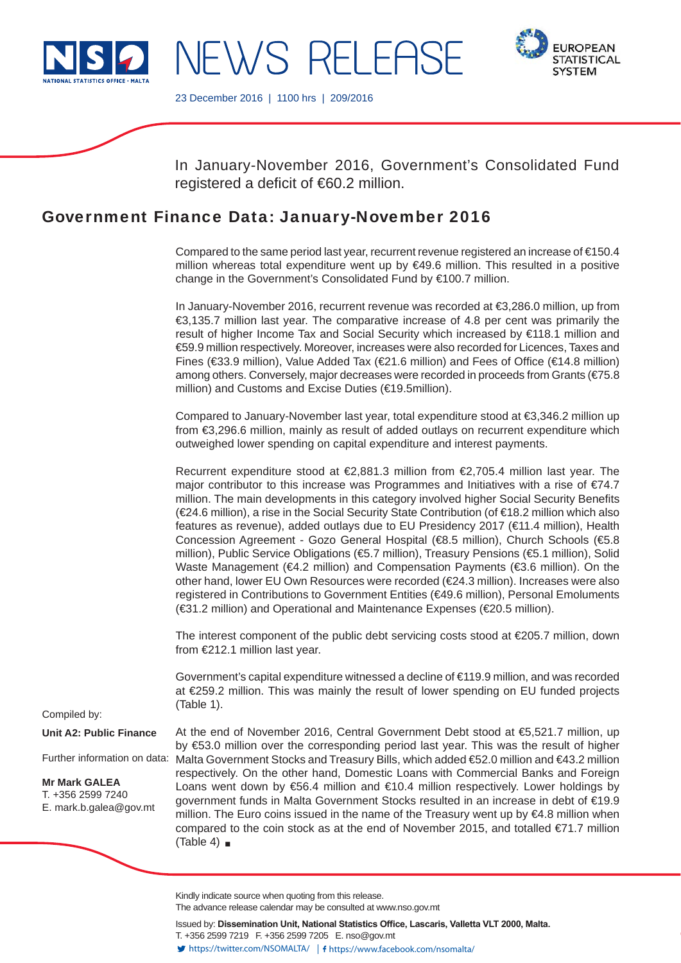

NEWS RELEASE



23 December 2016 | 1100 hrs | 209/2016

In January-November 2016, Government's Consolidated Fund registered a deficit of  $€60.2$  million.

# Government Finance Data: January-November 2016

Compared to the same period last year, recurrent revenue registered an increase of €150.4 million whereas total expenditure went up by  $\in$ 49.6 million. This resulted in a positive change in the Government's Consolidated Fund by €100.7 million.

In January-November 2016, recurrent revenue was recorded at €3,286.0 million, up from €3,135.7 million last year. The comparative increase of 4.8 per cent was primarily the result of higher Income Tax and Social Security which increased by €118.1 million and €59.9 million respectively. Moreover, increases were also recorded for Licences, Taxes and Fines (€33.9 million), Value Added Tax (€21.6 million) and Fees of Office (€14.8 million) among others. Conversely, major decreases were recorded in proceeds from Grants (€75.8 million) and Customs and Excise Duties (€19.5million).

Compared to January-November last year, total expenditure stood at €3,346.2 million up from €3,296.6 million, mainly as result of added outlays on recurrent expenditure which outweighed lower spending on capital expenditure and interest payments.

Recurrent expenditure stood at €2,881.3 million from €2,705.4 million last year. The major contributor to this increase was Programmes and Initiatives with a rise of  $E74.7$ million. The main developments in this category involved higher Social Security Benefits (€24.6 million), a rise in the Social Security State Contribution (of €18.2 million which also features as revenue), added outlays due to EU Presidency 2017 (€11.4 million), Health Concession Agreement - Gozo General Hospital (€8.5 million), Church Schools (€5.8 million), Public Service Obligations (€5.7 million), Treasury Pensions (€5.1 million), Solid Waste Management (€4.2 million) and Compensation Payments (€3.6 million). On the other hand, lower EU Own Resources were recorded (€24.3 million). Increases were also registered in Contributions to Government Entities (€49.6 million), Personal Emoluments (€31.2 million) and Operational and Maintenance Expenses (€20.5 million).

The interest component of the public debt servicing costs stood at €205.7 million, down from €212.1 million last year.

Government's capital expenditure witnessed a decline of €119.9 million, and was recorded at €259.2 million. This was mainly the result of lower spending on EU funded projects (Table 1).

Compiled by:

**Unit A2: Public Finance**

Further information on data:

**Mr Mark GALEA** T. +356 2599 7240 E. mark.b.galea@gov.mt

At the end of November 2016, Central Government Debt stood at €5,521.7 million, up by €53.0 million over the corresponding period last year. This was the result of higher Malta Government Stocks and Treasury Bills, which added €52.0 million and €43.2 million respectively. On the other hand, Domestic Loans with Commercial Banks and Foreign Loans went down by €56.4 million and €10.4 million respectively. Lower holdings by government funds in Malta Government Stocks resulted in an increase in debt of €19.9 million. The Euro coins issued in the name of the Treasury went up by €4.8 million when compared to the coin stock as at the end of November 2015, and totalled  $\epsilon$ 71.7 million (Table 4)  $\blacksquare$ 

Kindly indicate source when quoting from this release.

The advance release calendar may be consulted at www.nso.gov.mt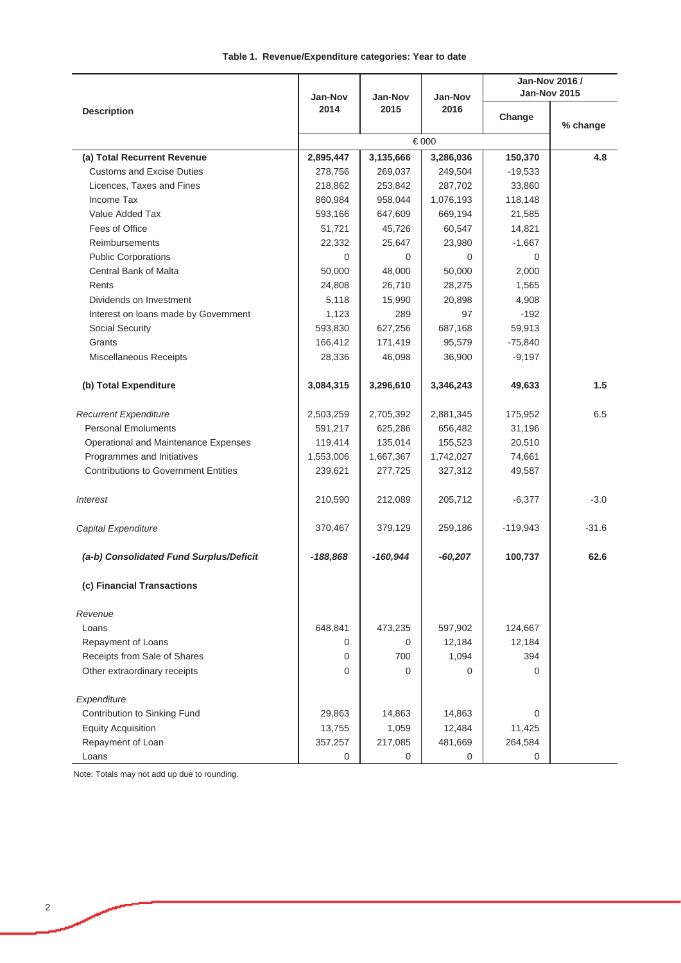|                                             |            |            |           | Jan-Nov 2016 /      |          |  |
|---------------------------------------------|------------|------------|-----------|---------------------|----------|--|
|                                             | Jan-Nov    | Jan-Nov    | Jan-Nov   | <b>Jan-Nov 2015</b> |          |  |
| <b>Description</b>                          | 2014       | 2015       | 2016      | Change              |          |  |
|                                             |            |            | €000      |                     | % change |  |
|                                             |            |            |           |                     |          |  |
| (a) Total Recurrent Revenue                 | 2,895,447  | 3,135,666  | 3,286,036 | 150,370             | 4.8      |  |
| <b>Customs and Excise Duties</b>            | 278,756    | 269,037    | 249,504   | $-19,533$           |          |  |
| Licences, Taxes and Fines                   | 218,862    | 253,842    | 287,702   | 33,860              |          |  |
| Income Tax                                  | 860,984    | 958,044    | 1,076,193 | 118,148             |          |  |
| Value Added Tax                             | 593,166    | 647,609    | 669,194   | 21,585              |          |  |
| Fees of Office                              | 51,721     | 45,726     | 60,547    | 14,821              |          |  |
| <b>Reimbursements</b>                       | 22,332     | 25,647     | 23,980    | $-1,667$            |          |  |
| <b>Public Corporations</b>                  | $\Omega$   | $\Omega$   | $\Omega$  | 0                   |          |  |
| Central Bank of Malta                       | 50,000     | 48,000     | 50,000    | 2,000               |          |  |
| Rents                                       | 24,808     | 26,710     | 28,275    | 1,565               |          |  |
| Dividends on Investment                     | 5,118      | 15,990     | 20,898    | 4,908               |          |  |
| Interest on loans made by Government        | 1,123      | 289        | 97        | $-192$              |          |  |
| Social Security                             | 593,830    | 627,256    | 687,168   | 59,913              |          |  |
| Grants                                      | 166,412    | 171,419    | 95,579    | $-75,840$           |          |  |
| Miscellaneous Receipts                      | 28,336     | 46,098     | 36,900    | $-9,197$            |          |  |
| (b) Total Expenditure                       | 3,084,315  | 3,296,610  | 3,346,243 | 49,633              | 1.5      |  |
| <b>Recurrent Expenditure</b>                | 2,503,259  | 2,705,392  | 2,881,345 | 175,952             | 6.5      |  |
| <b>Personal Emoluments</b>                  | 591,217    | 625,286    | 656,482   | 31,196              |          |  |
| Operational and Maintenance Expenses        | 119,414    | 135,014    | 155,523   | 20,510              |          |  |
| Programmes and Initiatives                  | 1,553,006  | 1,667,367  | 1,742,027 | 74,661              |          |  |
| <b>Contributions to Government Entities</b> | 239,621    | 277,725    | 327,312   | 49,587              |          |  |
| <b>Interest</b>                             | 210,590    | 212,089    | 205,712   | $-6,377$            | $-3.0$   |  |
| Capital Expenditure                         | 370,467    | 379,129    | 259,186   | $-119,943$          | $-31.6$  |  |
| (a-b) Consolidated Fund Surplus/Deficit     | $-188,868$ | $-160,944$ | $-60,207$ | 100,737             | 62.6     |  |
| (c) Financial Transactions                  |            |            |           |                     |          |  |
| Revenue                                     |            |            |           |                     |          |  |
| Loans                                       | 648,841    | 473,235    | 597,902   | 124,667             |          |  |
| Repayment of Loans                          | 0          | 0          | 12,184    | 12,184              |          |  |
| Receipts from Sale of Shares                | 0          | 700        | 1,094     | 394                 |          |  |
| Other extraordinary receipts                | $\Omega$   | $\Omega$   | 0         | $\Omega$            |          |  |
| Expenditure                                 |            |            |           |                     |          |  |
| Contribution to Sinking Fund                | 29,863     | 14,863     | 14,863    | $\Omega$            |          |  |
| <b>Equity Acquisition</b>                   | 13,755     | 1,059      | 12,484    | 11,425              |          |  |
| Repayment of Loan                           | 357,257    | 217,085    | 481,669   | 264,584             |          |  |
| Loans                                       | 0          | 0          | 0         | 0                   |          |  |

Note: Totals may not add up due to rounding.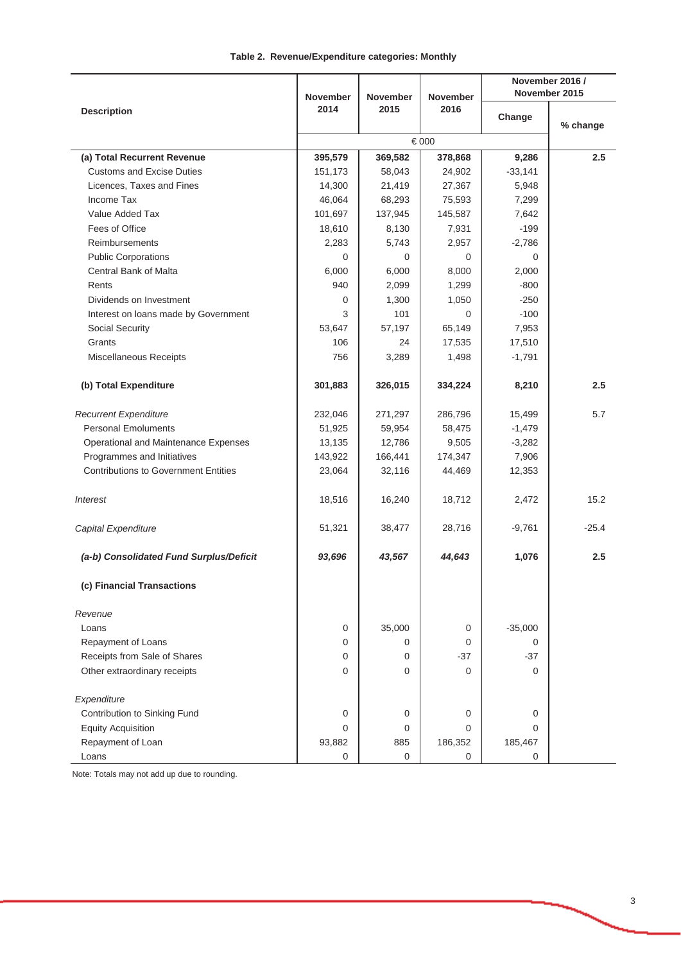## **Table 2. Revenue/Expenditure categories: Monthly**

|                                             |                 |                 |                 | November 2016 /      |               |  |
|---------------------------------------------|-----------------|-----------------|-----------------|----------------------|---------------|--|
|                                             | <b>November</b> | <b>November</b> | <b>November</b> |                      | November 2015 |  |
| <b>Description</b>                          | 2014            | 2015            | 2016            | Change               |               |  |
|                                             |                 |                 |                 |                      | % change      |  |
|                                             |                 |                 |                 |                      |               |  |
| (a) Total Recurrent Revenue                 | 395,579         | 369,582         | 378,868         | 9,286                | 2.5           |  |
| <b>Customs and Excise Duties</b>            | 151,173         | 58,043          | 24,902          | $-33,141$            |               |  |
| Licences, Taxes and Fines                   | 14,300          | 21,419          | 27,367          | 5,948                |               |  |
| Income Tax                                  | 46,064          | 68,293          | 75,593          | 7,299                |               |  |
| Value Added Tax                             | 101,697         | 137,945         | 145,587         | 7,642                |               |  |
| Fees of Office                              | 18,610          | 8,130           | 7,931           | $-199$               |               |  |
| <b>Reimbursements</b>                       | 2,283           | 5,743           | 2,957           | $-2,786$             |               |  |
| <b>Public Corporations</b>                  | 0               | $\Omega$        | 0               | $\Omega$             |               |  |
| Central Bank of Malta                       | 6,000           | 6,000           | 8,000           | 2,000                |               |  |
| Rents                                       | 940             | 2,099           | 1,299           | $-800$               |               |  |
| Dividends on Investment                     | 0               | 1,300           | 1,050           | $-250$               |               |  |
| Interest on loans made by Government        | 3               | 101             | $\Omega$        | $-100$               |               |  |
| Social Security                             | 53,647          | 57,197          | 65,149          | 7,953                |               |  |
| Grants                                      | 106             | 24              | 17,535          | 17,510               |               |  |
| Miscellaneous Receipts                      | 756             | 3,289           | 1,498           | $-1,791$             |               |  |
|                                             |                 |                 |                 |                      |               |  |
| (b) Total Expenditure                       | 301,883         | 326,015         | 334,224         | 8,210                | 2.5           |  |
| <b>Recurrent Expenditure</b>                | 232,046         | 271,297         | 286,796         | 15,499               | 5.7           |  |
| <b>Personal Emoluments</b>                  | 51,925          | 59,954          | 58,475          | $-1,479$             |               |  |
| Operational and Maintenance Expenses        | 13,135          | 12,786          | 9,505           | $-3,282$             |               |  |
| Programmes and Initiatives                  | 143,922         | 166,441         | 174,347         | 7,906                |               |  |
| <b>Contributions to Government Entities</b> | 23,064          | 32,116          | 44,469          | 12,353               |               |  |
|                                             |                 |                 |                 |                      |               |  |
| <b>Interest</b>                             | 18,516          | 16,240          | 18,712          | 2,472                | 15.2          |  |
| Capital Expenditure                         | 51,321          | 38,477          | 28,716          | $-9,761$             | $-25.4$       |  |
| (a-b) Consolidated Fund Surplus/Deficit     | 93,696          | 43,567          | 44,643          | 1,076                | 2.5           |  |
| (c) Financial Transactions                  |                 |                 |                 |                      |               |  |
|                                             |                 |                 |                 |                      |               |  |
| Revenue<br>Loans                            | $\mathbf 0$     |                 |                 | $-35,000$            |               |  |
|                                             |                 | 35,000          | 0               |                      |               |  |
| Repayment of Loans                          | 0               | 0               | 0               | $\mathbf 0$<br>$-37$ |               |  |
| Receipts from Sale of Shares                | $\mathbf 0$     | 0               | $-37$           |                      |               |  |
| Other extraordinary receipts                | $\mathbf 0$     | 0               | 0               | $\Omega$             |               |  |
| Expenditure                                 |                 |                 |                 |                      |               |  |
| Contribution to Sinking Fund                | $\mathbf 0$     | 0               | $\mathbf 0$     | 0                    |               |  |
| <b>Equity Acquisition</b>                   | $\Omega$        | 0               | 0               | $\Omega$             |               |  |
| Repayment of Loan                           | 93,882          | 885             | 186,352         | 185,467              |               |  |
| Loans                                       | 0               | 0               | $\mathbf 0$     | 0                    |               |  |

Note: Totals may not add up due to rounding.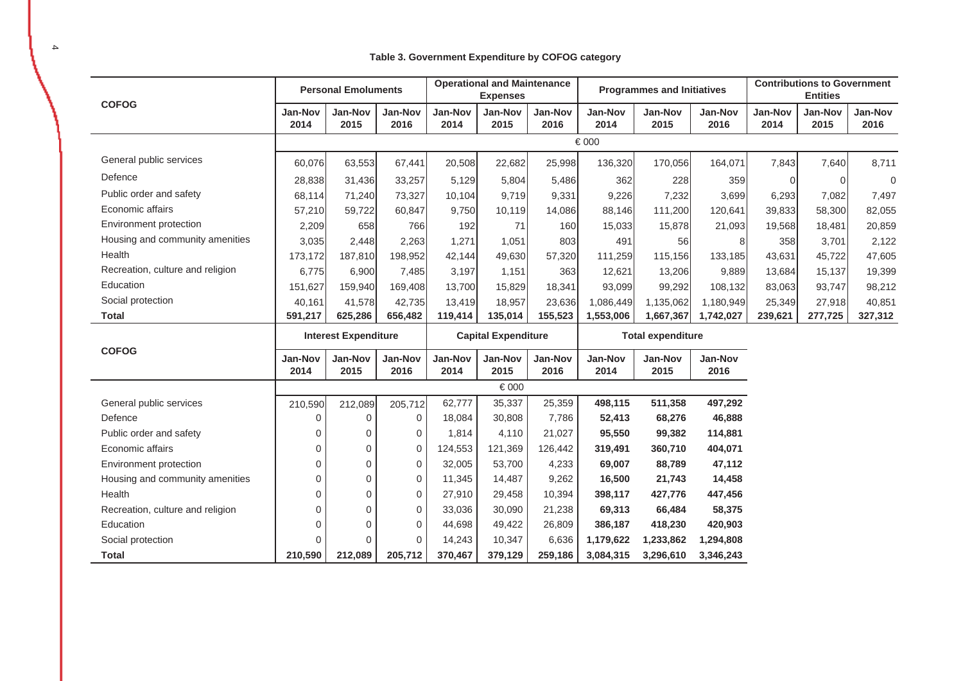## **Table 3. Government Expenditure by COFOG category**

| <b>COFOG</b>                     | <b>Personal Emoluments</b>  |                        |                        | <b>Operational and Maintenance</b><br><b>Expenses</b> |                        |                        | <b>Programmes and Initiatives</b> |                        |                        | <b>Contributions to Government</b><br><b>Entities</b> |                        |                        |
|----------------------------------|-----------------------------|------------------------|------------------------|-------------------------------------------------------|------------------------|------------------------|-----------------------------------|------------------------|------------------------|-------------------------------------------------------|------------------------|------------------------|
|                                  | <b>Jan-Nov</b><br>2014      | Jan-Nov<br>2015        | Jan-Nov<br>2016        | Jan-Nov<br>2014                                       | <b>Jan-Nov</b><br>2015 | Jan-Nov<br>2016        | <b>Jan-Nov</b><br>2014            | <b>Jan-Nov</b><br>2015 | <b>Jan-Nov</b><br>2016 | <b>Jan-Nov</b><br>2014                                | <b>Jan-Nov</b><br>2015 | <b>Jan-Nov</b><br>2016 |
|                                  |                             |                        |                        |                                                       |                        |                        | € 000                             |                        |                        |                                                       |                        |                        |
| General public services          | 60,076                      | 63,553                 | 67,441                 | 20,508                                                | 22,682                 | 25,998                 | 136,320                           | 170,056                | 164,071                | 7,843                                                 | 7,640                  | 8,711                  |
| Defence                          | 28,838                      | 31,436                 | 33,257                 | 5,129                                                 | 5,804                  | 5,486                  | 362                               | 228                    | 359                    | $\Omega$                                              | $\Omega$               | 0                      |
| Public order and safety          | 68,114                      | 71,240                 | 73,327                 | 10,104                                                | 9,719                  | 9,331                  | 9,226                             | 7,232                  | 3,699                  | 6,293                                                 | 7,082                  | 7,497                  |
| Economic affairs                 | 57,210                      | 59,722                 | 60,847                 | 9,750                                                 | 10,119                 | 14,086                 | 88,146                            | 111,200                | 120,641                | 39,833                                                | 58,300                 | 82,055                 |
| Environment protection           | 2,209                       | 658                    | 766                    | 192                                                   | 71                     | 160                    | 15,033                            | 15,878                 | 21,093                 | 19,568                                                | 18,481                 | 20,859                 |
| Housing and community amenities  | 3,035                       | 2,448                  | 2,263                  | 1,271                                                 | 1,051                  | 803                    | 491                               | 56                     | 8                      | 358                                                   | 3,701                  | 2,122                  |
| Health                           | 173,172                     | 187,810                | 198,952                | 42,144                                                | 49,630                 | 57,320                 | 111,259                           | 115,156                | 133,185                | 43,631                                                | 45,722                 | 47,605                 |
| Recreation, culture and religion | 6,775                       | 6,900                  | 7,485                  | 3,197                                                 | 1,151                  | 363                    | 12,621                            | 13,206                 | 9,889                  | 13,684                                                | 15,137                 | 19,399                 |
| Education                        | 151,627                     | 159,940                | 169,408                | 13,700                                                | 15,829                 | 18,341                 | 93,099                            | 99,292                 | 108,132                | 83,063                                                | 93,747                 | 98,212                 |
| Social protection                | 40,161                      | 41,578                 | 42,735                 | 13,419                                                | 18,957                 | 23,636                 | 1,086,449                         | 1,135,062              | 1,180,949              | 25,349                                                | 27,918                 | 40,851                 |
| <b>Total</b>                     | 591,217                     | 625,286                | 656,482                | 119,414                                               | 135,014                | 155,523                | 1,553,006                         | 1,667,367              | 1,742,027              | 239,621                                               | 277,725                | 327,312                |
| <b>COFOG</b>                     | <b>Interest Expenditure</b> |                        |                        | <b>Capital Expenditure</b>                            |                        |                        | <b>Total expenditure</b>          |                        |                        |                                                       |                        |                        |
|                                  | <b>Jan-Nov</b><br>2014      | <b>Jan-Nov</b><br>2015 | <b>Jan-Nov</b><br>2016 | Jan-Nov<br>2014                                       | <b>Jan-Nov</b><br>2015 | <b>Jan-Nov</b><br>2016 | <b>Jan-Nov</b><br>2014            | <b>Jan-Nov</b><br>2015 | Jan-Nov<br>2016        |                                                       |                        |                        |
|                                  | € 000                       |                        |                        |                                                       |                        |                        |                                   |                        |                        |                                                       |                        |                        |
| General public services          | 210,590                     | 212,089                | 205,712                | 62,777                                                | 35,337                 | 25,359                 | 498,115                           | 511,358                | 497,292                |                                                       |                        |                        |
| Defence                          | 0                           | $\Omega$               | 0                      | 18,084                                                | 30,808                 | 7,786                  | 52,413                            | 68,276                 | 46,888                 |                                                       |                        |                        |
| Public order and safety          | 0                           | 0                      | 0                      | 1,814                                                 | 4,110                  | 21,027                 | 95,550                            | 99,382                 | 114,881                |                                                       |                        |                        |
| Economic affairs                 | 0                           | $\overline{0}$         | 0                      | 124,553                                               | 121,369                | 126,442                | 319,491                           | 360,710                | 404,071                |                                                       |                        |                        |
| Environment protection           | 0                           | $\mathbf 0$            | 0                      | 32,005                                                | 53,700                 | 4,233                  | 69,007                            | 88,789                 | 47,112                 |                                                       |                        |                        |
| Housing and community amenities  | 0                           | $\mathbf 0$            | 0                      | 11,345                                                | 14,487                 | 9,262                  | 16,500                            | 21,743                 | 14,458                 |                                                       |                        |                        |
| Health                           | 0                           | $\overline{0}$         | 0                      | 27,910                                                | 29,458                 | 10,394                 | 398,117                           | 427,776                | 447,456                |                                                       |                        |                        |
| Recreation, culture and religion | 0                           | $\overline{0}$         | 0                      | 33,036                                                | 30,090                 | 21,238                 | 69,313                            | 66,484                 | 58,375                 |                                                       |                        |                        |
| Education                        | 0                           | $\Omega$               | 0                      | 44,698                                                | 49,422                 | 26,809                 | 386,187                           | 418,230                | 420,903                |                                                       |                        |                        |
| Social protection                | $\Omega$                    | $\Omega$               | $\mathbf 0$            | 14,243                                                | 10,347                 | 6,636                  | 1,179,622                         | 1,233,862              | 1,294,808              |                                                       |                        |                        |
|                                  |                             |                        |                        |                                                       |                        |                        |                                   |                        |                        |                                                       |                        |                        |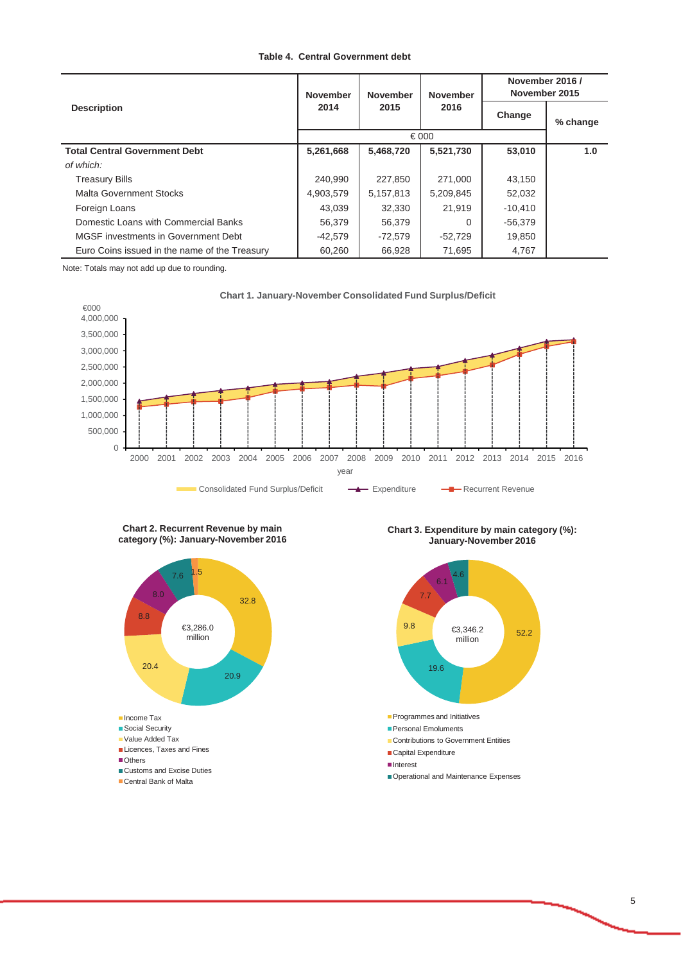### **Table 4. Central Government debt**

|                                               | <b>November</b> | <b>November</b> | <b>November</b> | November 2016 /<br>November 2015 |          |  |
|-----------------------------------------------|-----------------|-----------------|-----------------|----------------------------------|----------|--|
| <b>Description</b>                            | 2014            | 2015            | 2016            | Change                           | % change |  |
|                                               |                 |                 |                 |                                  |          |  |
| <b>Total Central Government Debt</b>          | 5,261,668       | 5,468,720       | 5,521,730       | 53,010                           | 1.0      |  |
| of which:                                     |                 |                 |                 |                                  |          |  |
| <b>Treasury Bills</b>                         | 240.990         | 227.850         | 271.000         | 43.150                           |          |  |
| Malta Government Stocks                       | 4,903,579       | 5,157,813       | 5,209,845       | 52,032                           |          |  |
| Foreign Loans                                 | 43,039          | 32,330          | 21,919          | $-10,410$                        |          |  |
| Domestic Loans with Commercial Banks          | 56,379          | 56,379          | $\Omega$        | $-56,379$                        |          |  |
| MGSF investments in Government Debt           | $-42,579$       | $-72,579$       | $-52,729$       | 19,850                           |          |  |
| Euro Coins issued in the name of the Treasury | 60,260          | 66,928          | 71,695          | 4,767                            |          |  |

Note: Totals may not add up due to rounding.





#### **Chart 2. Recurrent Revenue by main category (%): January-November 2016**



**Chart 3. Expenditure by main category (%): January-November 2016**